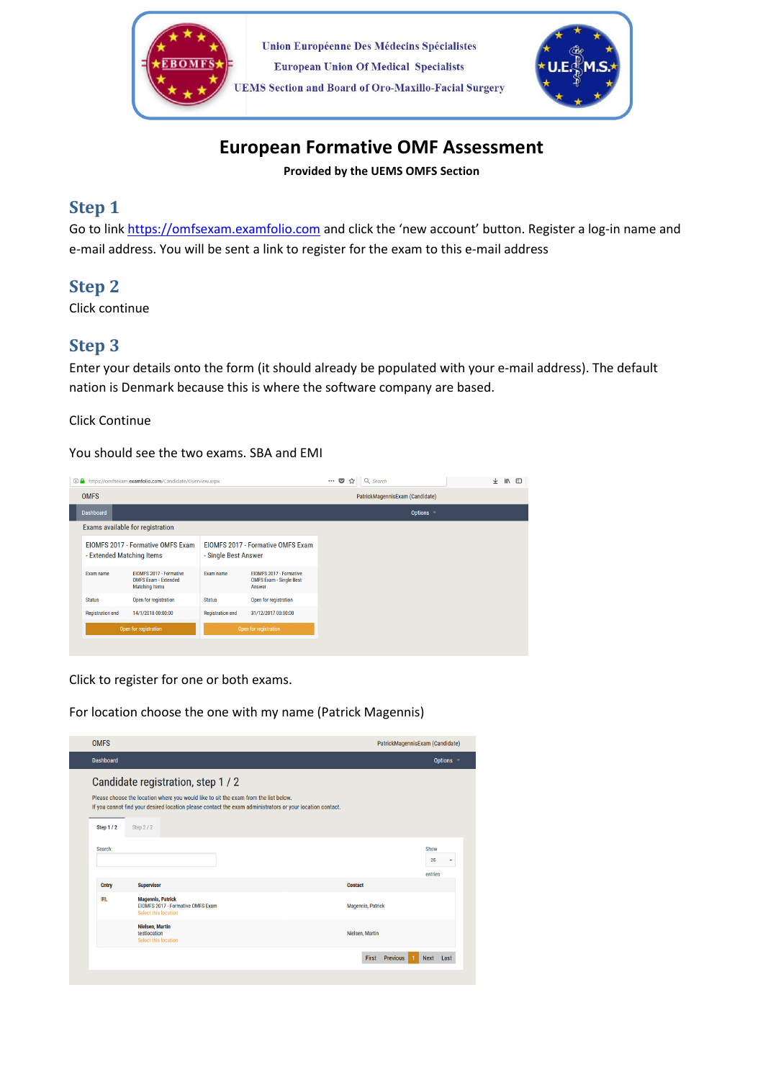



# European Formative OMF Assessment

Provided by the UEMS OMFS Section

# Step 1

Go to link https://omfsexam.examfolio.com and click the 'new account' button. Register a log-in name and e-mail address. You will be sent a link to register for the exam to this e-mail address

# Step 2

Click continue

# Step 3

Enter your details onto the form (it should already be populated with your e-mail address). The default nation is Denmark because this is where the software company are based.

#### Click Continue

You should see the two exams. SBA and EMI

| 1 https://omfsexam.examfolio.com/Candidate/Overview.aspx       |                                                                                 |                                                           |                                                                     | … ◎ ☆<br>Q Search | ↓ | $\mathbb{I}$ | 田 |
|----------------------------------------------------------------|---------------------------------------------------------------------------------|-----------------------------------------------------------|---------------------------------------------------------------------|-------------------|---|--------------|---|
| <b>OMFS</b>                                                    |                                                                                 |                                                           | PatrickMagennisExam (Candidate)                                     |                   |   |              |   |
| <b>Dashboard</b>                                               |                                                                                 |                                                           |                                                                     | Options -         |   |              |   |
| Exams available for registration                               |                                                                                 |                                                           |                                                                     |                   |   |              |   |
| EIOMFS 2017 - Formative OMFS Exam<br>- Extended Matching Items |                                                                                 | EIOMFS 2017 - Formative OMFS Exam<br>- Single Best Answer |                                                                     |                   |   |              |   |
| <b>Exam name</b>                                               | EIOMFS 2017 - Formative<br><b>OMFS Exam - Extended</b><br><b>Matching Items</b> | <b>Exam name</b>                                          | EIOMFS 2017 - Formative<br><b>OMFS Exam - Single Best</b><br>Answer |                   |   |              |   |
| <b>Status</b>                                                  | Open for registration                                                           | <b>Status</b>                                             | Open for registration                                               |                   |   |              |   |
| <b>Registration end</b>                                        | 14/1/2018 00:00:00                                                              | <b>Registration end</b>                                   | 31/12/2017 00:00:00                                                 |                   |   |              |   |
| Open for registration                                          |                                                                                 | Open for registration                                     |                                                                     |                   |   |              |   |
|                                                                |                                                                                 |                                                           |                                                                     |                   |   |              |   |

Click to register for one or both exams.

For location choose the one with my name (Patrick Magennis)

| <b>OMFS</b>      |                                                                                                                                                                                                                                         | PatrickMagennisExam (Candidate) |
|------------------|-----------------------------------------------------------------------------------------------------------------------------------------------------------------------------------------------------------------------------------------|---------------------------------|
| <b>Dashboard</b> |                                                                                                                                                                                                                                         | Options -                       |
|                  | Candidate registration, step 1 / 2<br>Please choose the location where you would like to sit the exam from the list below.<br>If you cannot find your desired location please contact the exam administrators or your location contact. |                                 |
| <b>Step 1/2</b>  | Step 2/2                                                                                                                                                                                                                                |                                 |
| Search:          |                                                                                                                                                                                                                                         | Show<br>25<br>۰                 |
| <b>Cntry</b>     | <b>Supervisor</b>                                                                                                                                                                                                                       | entries<br><b>Contact</b>       |
| <b>IRL</b>       | <b>Magennis, Patrick</b><br>EIOMFS 2017 - Formative OMFS Exam<br>Select this location                                                                                                                                                   | <b>Magennis, Patrick</b>        |
|                  | <b>Nielsen, Martin</b><br>testlocation<br>Select this location                                                                                                                                                                          | Nielsen, Martin                 |
|                  |                                                                                                                                                                                                                                         |                                 |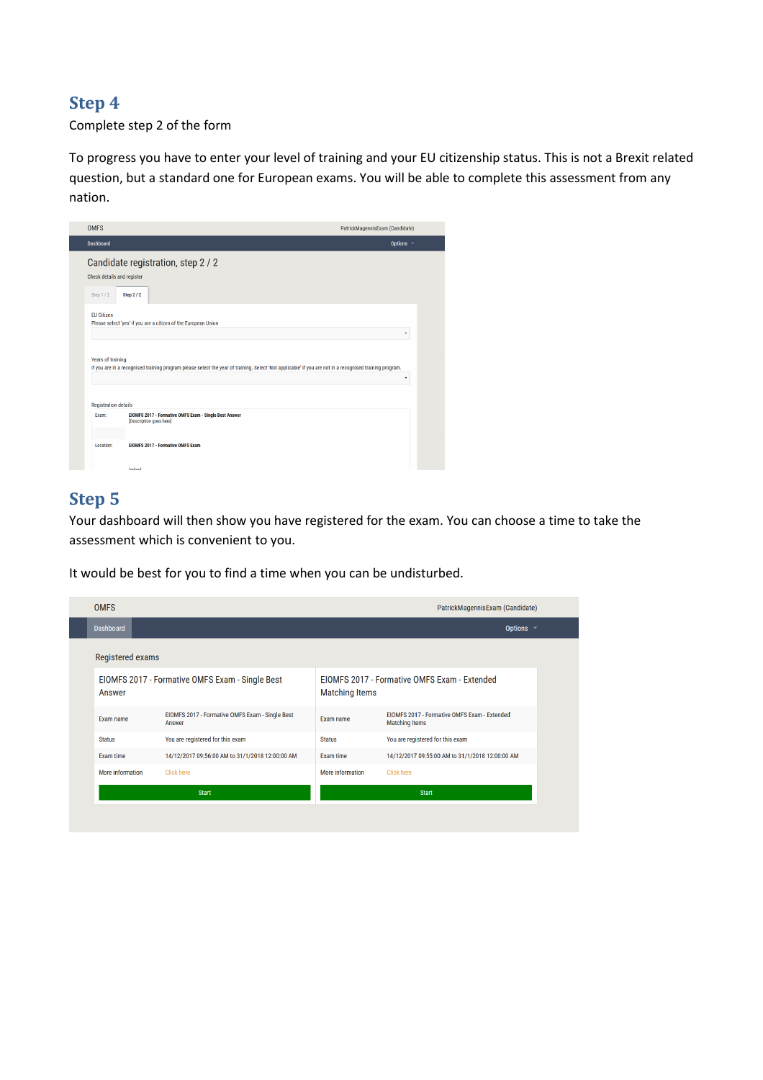### Step 4

#### Complete step 2 of the form

To progress you have to enter your level of training and your EU citizenship status. This is not a Brexit related question, but a standard one for European exams. You will be able to complete this assessment from any nation.

| <b>OMFS</b>                 |                                                                                                                                                          | PatrickMagennisExam (Candidate) |  |  |
|-----------------------------|----------------------------------------------------------------------------------------------------------------------------------------------------------|---------------------------------|--|--|
| Dashboard                   |                                                                                                                                                          | Options -                       |  |  |
| Check details and register  | Candidate registration, step 2 / 2                                                                                                                       |                                 |  |  |
| Step 1/2                    | Step 2/2                                                                                                                                                 |                                 |  |  |
| <b>EU Citizen</b>           | Please select 'yes' if you are a citizen of the European Union                                                                                           | ٠                               |  |  |
| <b>Years of training</b>    | If you are in a recognised training program please select the year of training. Select 'Not applicable' if you are not in a recognised training program. |                                 |  |  |
| <b>Registration details</b> |                                                                                                                                                          |                                 |  |  |
| Exam:                       | EIOMFS 2017 - Formative OMFS Exam - Single Best Answer<br>[Description goes here]                                                                        |                                 |  |  |
| Location:                   | <b>EIOMFS 2017 - Formative OMFS Exam</b>                                                                                                                 |                                 |  |  |
|                             | Ireland                                                                                                                                                  |                                 |  |  |

## Step 5

Your dashboard will then show you have registered for the exam. You can choose a time to take the assessment which is convenient to you.

It would be best for you to find a time when you can be undisturbed.

| <b>OMFS</b>      |                                                           |                                                                       | PatrickMagennisExam (Candidate)                                       |
|------------------|-----------------------------------------------------------|-----------------------------------------------------------------------|-----------------------------------------------------------------------|
| <b>Dashboard</b> |                                                           |                                                                       | Options $\sim$                                                        |
| Registered exams |                                                           |                                                                       |                                                                       |
| Answer           | EIOMFS 2017 - Formative OMFS Exam - Single Best           | EIOMFS 2017 - Formative OMFS Exam - Extended<br><b>Matching Items</b> |                                                                       |
| Exam name        | EIOMFS 2017 - Formative OMFS Exam - Single Best<br>Answer | Exam name                                                             | EIOMFS 2017 - Formative OMFS Exam - Extended<br><b>Matching Items</b> |
| <b>Status</b>    | You are registered for this exam                          | <b>Status</b>                                                         | You are registered for this exam                                      |
| Exam time        | 14/12/2017 09:56:00 AM to 31/1/2018 12:00:00 AM           | Exam time                                                             | 14/12/2017 09:55:00 AM to 31/1/2018 12:00:00 AM                       |
| More information | <b>Click here</b>                                         | More information                                                      | <b>Click here</b>                                                     |
|                  | <b>Start</b>                                              |                                                                       | <b>Start</b>                                                          |